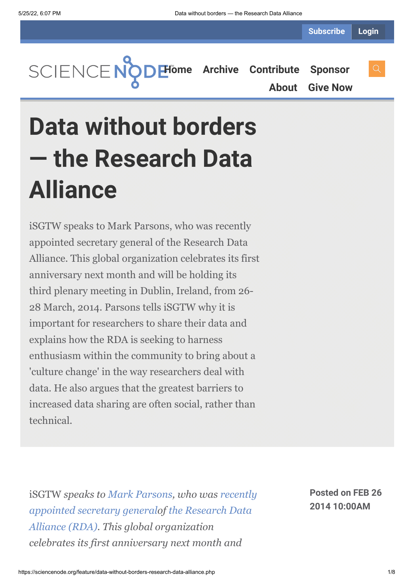**[Home](https://sciencenode.org/) [Archive](https://sciencenode.org/archive/index.php) [Contribute](https://sciencenode.org/contribute/index.php) [Sponsor](https://sciencenode.org/sponsor/index.php) [About](https://sciencenode.org/about/index.php) [Give Now](https://sciencenode.org/donate/index.php)**

**Data without borders — the Research Data Alliance**

iSGTW speaks to Mark Parsons, who was recently appointed secretary general of the Research Data Alliance. This global organization celebrates its first anniversary next month and will be holding its third plenary meeting in Dublin, Ireland, from 26- 28 March, 2014. Parsons tells iSGTW why it is important for researchers to share their data and explains how the RDA is seeking to harness enthusiasm within the community to bring about a 'culture change' in the way researchers deal with data. He also argues that the greatest barriers to increased data sharing are often social, rather than technical.

iSGTW *speaks to [Mark Parsons,](https://rd-alliance.org/about/organization/key-profiles/mark-parsons.html) who was recently [appointed secretary generalof](https://rd-alliance.org/mark-parsons-first-secretary-general-research-data-alliance-rda.html) the Research Data [Alliance \(RDA\). This global organization](https://rd-alliance.org/) celebrates its first anniversary next month and*

**Posted on FEB 26 2014 10:00AM**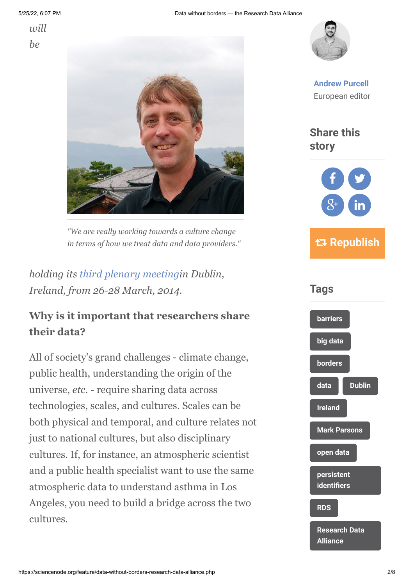*will be*





*"We are really working towards a culture change in terms of how we treat data and data providers."*

*holding its [third plenary meeting](https://rd-alliance.org/rda-third-plenary-meeting.html)in Dublin, Ireland, from 26-28 March, 2014.*

## **Why is it important that researchers share their data?**

All of society's grand challenges - climate change, public health, understanding the origin of the universe, *etc. -* require sharing data across technologies, scales, and cultures. Scales can be both physical and temporal, and culture relates not just to national cultures, but also disciplinary cultures. If, for instance, an atmospheric scientist and a public health specialist want to use the same atmospheric data to understand asthma in Los Angeles, you need to build a bridge across the two cultures.



**[Andrew Purcell](https://sciencenode.org/author/andrew-purcell.php)** European editor

**Share this story**



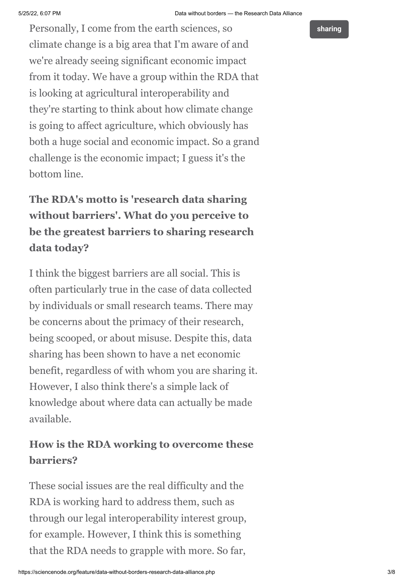Personally, I come from the earth sciences, so climate change is a big area that I'm aware of and we're already seeing significant economic impact from it today. We have a group within the RDA that is looking at agricultural interoperability and they're starting to think about how climate change is going to affect agriculture, which obviously has both a huge social and economic impact. So a grand challenge is the economic impact; I guess it's the bottom line.

# **The RDA's motto is 'research data sharing without barriers'. What do you perceive to be the greatest barriers to sharing research data today?**

I think the biggest barriers are all social. This is often particularly true in the case of data collected by individuals or small research teams. There may be concerns about the primacy of their research, being scooped, or about misuse. Despite this, data sharing has been shown to have a net economic benefit, regardless of with whom you are sharing it. However, I also think there's a simple lack of knowledge about where data can actually be made available.

## **How is the RDA working to overcome these barriers?**

These social issues are the real difficulty and the RDA is working hard to address them, such as through our legal interoperability interest group, for example. However, I think this is something that the RDA needs to grapple with more. So far,

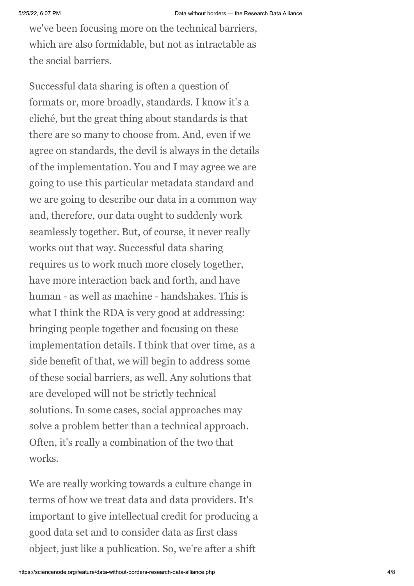we've been focusing more on the technical barriers, which are also formidable, but not as intractable as the social barriers.

Successful data sharing is often a question of formats or, more broadly, standards. I know it's a cliché, but the great thing about standards is that there are so many to choose from. And, even if we agree on standards, the devil is always in the details of the implementation. You and I may agree we are going to use this particular metadata standard and we are going to describe our data in a common way and, therefore, our data ought to suddenly work seamlessly together. But, of course, it never really works out that way. Successful data sharing requires us to work much more closely together, have more interaction back and forth, and have human - as well as machine - handshakes. This is what I think the RDA is very good at addressing: bringing people together and focusing on these implementation details. I think that over time, as a side benefit of that, we will begin to address some of these social barriers, as well. Any solutions that are developed will not be strictly technical solutions. In some cases, social approaches may solve a problem better than a technical approach. Often, it's really a combination of the two that works.

We are really working towards a culture change in terms of how we treat data and data providers. It's important to give intellectual credit for producing a good data set and to consider data as first class object, just like a publication. So, we're after a shift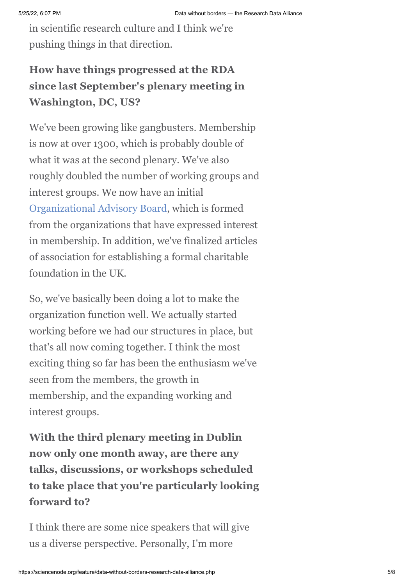in scientific research culture and I think we're pushing things in that direction.

# **How have things progressed at the RDA since last September's plenary meeting in Washington, DC, US?**

We've been growing like gangbusters. Membership is now at over 1300, which is probably double of what it was at the second plenary. We've also roughly doubled the number of working groups and interest groups. We now have an initial [Organizational Advisory Board,](https://rd-alliance.org/groups/rda-organisational-advisory-board-oab.html) which is formed from the organizations that have expressed interest in membership. In addition, we've finalized articles of association for establishing a formal charitable foundation in the UK.

So, we've basically been doing a lot to make the organization function well. We actually started working before we had our structures in place, but that's all now coming together. I think the most exciting thing so far has been the enthusiasm we've seen from the members, the growth in membership, and the expanding working and interest groups.

**With the third plenary meeting in Dublin now only one month away, are there any talks, discussions, or workshops scheduled to take place that you're particularly looking forward to?**

I think there are some nice speakers that will give us a diverse perspective. Personally, I'm more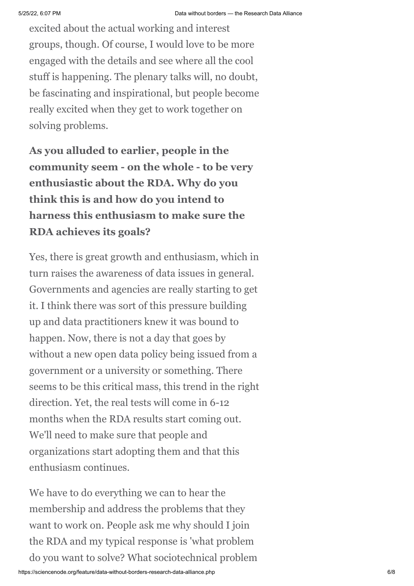excited about the actual working and interest groups, though. Of course, I would love to be more engaged with the details and see where all the cool stuff is happening. The plenary talks will, no doubt, be fascinating and inspirational, but people become really excited when they get to work together on solving problems.

**As you alluded to earlier, people in the community seem - on the whole - to be very enthusiastic about the RDA. Why do you think this is and how do you intend to harness this enthusiasm to make sure the RDA achieves its goals?**

Yes, there is great growth and enthusiasm, which in turn raises the awareness of data issues in general. Governments and agencies are really starting to get it. I think there was sort of this pressure building up and data practitioners knew it was bound to happen. Now, there is not a day that goes by without a new open data policy being issued from a government or a university or something. There seems to be this critical mass, this trend in the right direction. Yet, the real tests will come in 6-12 months when the RDA results start coming out. We'll need to make sure that people and organizations start adopting them and that this enthusiasm continues.

We have to do everything we can to hear the membership and address the problems that they want to work on. People ask me why should I join the RDA and my typical response is 'what problem do you want to solve? What sociotechnical problem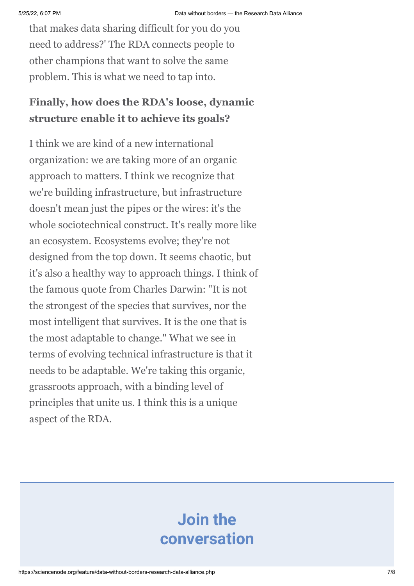that makes data sharing difficult for you do you need to address?' The RDA connects people to other champions that want to solve the same problem. This is what we need to tap into.

# **Finally, how does the RDA's loose, dynamic structure enable it to achieve its goals?**

I think we are kind of a new international organization: we are taking more of an organic approach to matters. I think we recognize that we're building infrastructure, but infrastructure doesn't mean just the pipes or the wires: it's the whole sociotechnical construct. It's really more like an ecosystem. Ecosystems evolve; they're not designed from the top down. It seems chaotic, but it's also a healthy way to approach things. I think of the famous quote from Charles Darwin: "It is not the strongest of the species that survives, nor the most intelligent that survives. It is the one that is the most adaptable to change." What we see in terms of evolving technical infrastructure is that it needs to be adaptable. We're taking this organic, grassroots approach, with a binding level of principles that unite us. I think this is a unique aspect of the RDA.

# **Join the conversation**